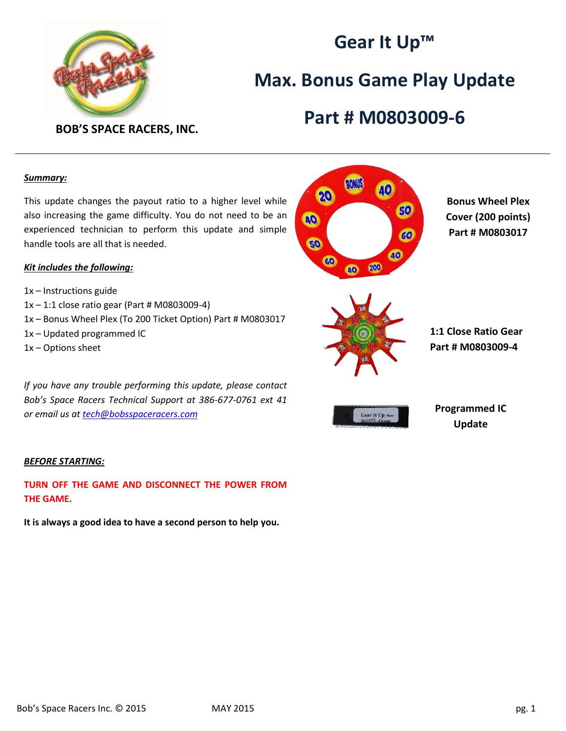

**BOB'S SPACE RACERS, INC.**

# **Gear It Up™**

## **Max. Bonus Game Play Update**

### **Part # M0803009-6**

#### *Summary:*

This update changes the payout ratio to a higher level while also increasing the game difficulty. You do not need to be an experienced technician to perform this update and simple handle tools are all that is needed.

#### *Kit includes the following:*

- 1x Instructions guide
- 1x 1:1 close ratio gear (Part # M0803009-4)
- 1x Bonus Wheel Plex (To 200 Ticket Option) Part # M0803017
- 1x Updated programmed IC
- 1x Options sheet

*If you have any trouble performing this update, please contact Bob's Space Racers Technical Support at 386-677-0761 ext 41 or email us at [tech@bobsspaceracers.com](mailto:tech@bobsspaceracers.com)*

#### *BEFORE STARTING:*

**TURN OFF THE GAME AND DISCONNECT THE POWER FROM THE GAME.** 

**It is always a good idea to have a second person to help you.** 



**Update**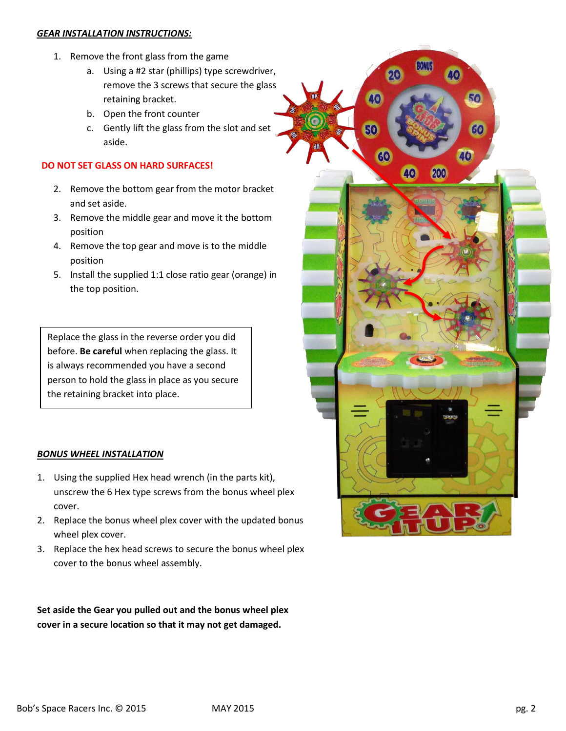#### *GEAR INSTALLATION INSTRUCTIONS:*

- 1. Remove the front glass from the game
	- a. Using a #2 star (phillips) type screwdriver, remove the 3 screws that secure the glass retaining bracket.
	- b. Open the front counter
	- c. Gently lift the glass from the slot and set aside.

#### **DO NOT SET GLASS ON HARD SURFACES!**

- 2. Remove the bottom gear from the motor bracket and set aside.
- 3. Remove the middle gear and move it the bottom position
- 4. Remove the top gear and move is to the middle position
- 5. Install the supplied 1:1 close ratio gear (orange) in the top position.

Replace the glass in the reverse order you did before. **Be careful** when replacing the glass. It is always recommended you have a second person to hold the glass in place as you secure the retaining bracket into place.

#### *BONUS WHEEL INSTALLATION*

- 1. Using the supplied Hex head wrench (in the parts kit), unscrew the 6 Hex type screws from the bonus wheel plex cover.
- 2. Replace the bonus wheel plex cover with the updated bonus wheel plex cover.
- 3. Replace the hex head screws to secure the bonus wheel plex cover to the bonus wheel assembly.

**Set aside the Gear you pulled out and the bonus wheel plex cover in a secure location so that it may not get damaged.**